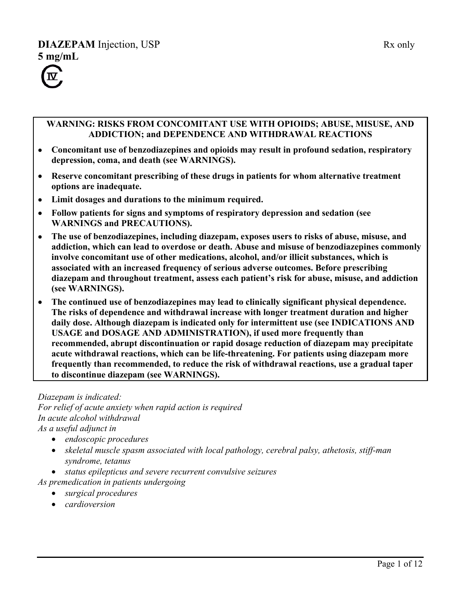# **DIAZEPAM** Injection, USP Rx only **5 mg/mL**



### **WARNING: RISKS FROM CONCOMITANT USE WITH OPIOIDS; ABUSE, MISUSE, AND ADDICTION; and DEPENDENCE AND WITHDRAWAL REACTIONS**

- **Concomitant use of benzodiazepines and opioids may result in profound sedation, respiratory depression, coma, and death (see WARNINGS).**
- **Reserve concomitant prescribing of these drugs in patients for whom alternative treatment options are inadequate.**
- **Limit dosages and durations to the minimum required.**
- **Follow patients for signs and symptoms of respiratory depression and sedation (see WARNINGS and PRECAUTIONS).**
- **The use of benzodiazepines, including diazepam, exposes users to risks of abuse, misuse, and addiction, which can lead to overdose or death. Abuse and misuse of benzodiazepines commonly involve concomitant use of other medications, alcohol, and/or illicit substances, which is associated with an increased frequency of serious adverse outcomes. Before prescribing diazepam and throughout treatment, assess each patient's risk for abuse, misuse, and addiction (see WARNINGS).**
- **The continued use of benzodiazepines may lead to clinically significant physical dependence. The risks of dependence and withdrawal increase with longer treatment duration and higher daily dose. Although diazepam is indicated only for intermittent use (see INDICATIONS AND USAGE and DOSAGE AND ADMINISTRATION), if used more frequently than recommended, abrupt discontinuation or rapid dosage reduction of diazepam may precipitate acute withdrawal reactions, which can be life-threatening. For patients using diazepam more frequently than recommended, to reduce the risk of withdrawal reactions, use a gradual taper to discontinue diazepam (see WARNINGS).**

*Diazepam is indicated: For relief of acute anxiety when rapid action is required In acute alcohol withdrawal As a useful adjunct in* 

- *endoscopic procedures*
- *skeletal muscle spasm associated with local pathology, cerebral palsy, athetosis, stiff-man syndrome, tetanus*
- *status epilepticus and severe recurrent convulsive seizures*
- *As premedication in patients undergoing*
	- *surgical procedures*
		- *cardioversion*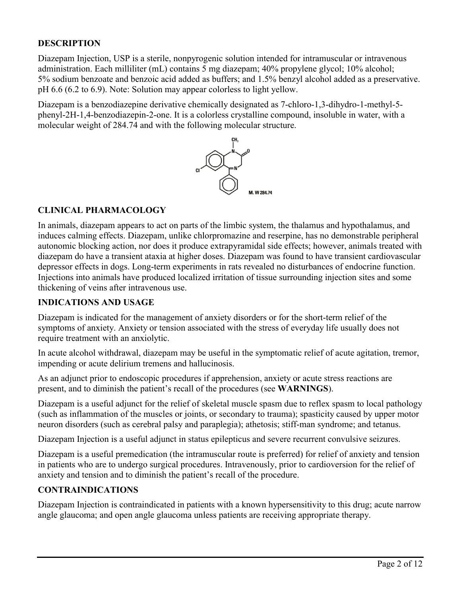### **DESCRIPTION**

Diazepam Injection, USP is a sterile, nonpyrogenic solution intended for intramuscular or intravenous administration. Each milliliter (mL) contains 5 mg diazepam; 40% propylene glycol; 10% alcohol; 5% sodium benzoate and benzoic acid added as buffers; and 1.5% benzyl alcohol added as a preservative. pH 6.6 (6.2 to 6.9). Note: Solution may appear colorless to light yellow.

Diazepam is a benzodiazepine derivative chemically designated as 7-chloro-1,3-dihydro-1-methyl-5 phenyl-2H-1,4-benzodiazepin-2-one. It is a colorless crystalline compound, insoluble in water, with a molecular weight of 284.74 and with the following molecular structure.



### **CLINICAL PHARMACOLOGY**

In animals, diazepam appears to act on parts of the limbic system, the thalamus and hypothalamus, and induces calming effects. Diazepam, unlike chlorpromazine and reserpine, has no demonstrable peripheral autonomic blocking action, nor does it produce extrapyramidal side effects; however, animals treated with diazepam do have a transient ataxia at higher doses. Diazepam was found to have transient cardiovascular depressor effects in dogs. Long-term experiments in rats revealed no disturbances of endocrine function. Injections into animals have produced localized irritation of tissue surrounding injection sites and some thickening of veins after intravenous use.

#### **INDICATIONS AND USAGE**

Diazepam is indicated for the management of anxiety disorders or for the short-term relief of the symptoms of anxiety. Anxiety or tension associated with the stress of everyday life usually does not require treatment with an anxiolytic.

In acute alcohol withdrawal, diazepam may be useful in the symptomatic relief of acute agitation, tremor, impending or acute delirium tremens and hallucinosis.

As an adjunct prior to endoscopic procedures if apprehension, anxiety or acute stress reactions are present, and to diminish the patient's recall of the procedures (see **WARNINGS**).

Diazepam is a useful adjunct for the relief of skeletal muscle spasm due to reflex spasm to local pathology (such as inflammation of the muscles or joints, or secondary to trauma); spasticity caused by upper motor neuron disorders (such as cerebral palsy and paraplegia); athetosis; stiff-man syndrome; and tetanus.

Diazepam Injection is a useful adjunct in status epilepticus and severe recurrent convulsive seizures.

Diazepam is a useful premedication (the intramuscular route is preferred) for relief of anxiety and tension in patients who are to undergo surgical procedures. Intravenously, prior to cardioversion for the relief of anxiety and tension and to diminish the patient's recall of the procedure.

### **CONTRAINDICATIONS**

Diazepam Injection is contraindicated in patients with a known hypersensitivity to this drug; acute narrow angle glaucoma; and open angle glaucoma unless patients are receiving appropriate therapy.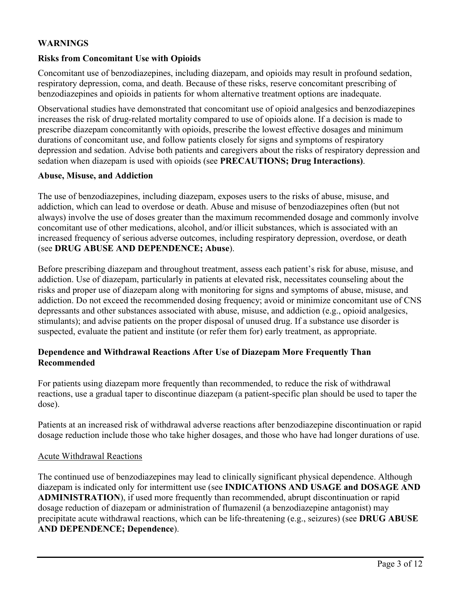### **WARNINGS**

#### **Risks from Concomitant Use with Opioids**

Concomitant use of benzodiazepines, including diazepam, and opioids may result in profound sedation, respiratory depression, coma, and death. Because of these risks, reserve concomitant prescribing of benzodiazepines and opioids in patients for whom alternative treatment options are inadequate.

Observational studies have demonstrated that concomitant use of opioid analgesics and benzodiazepines increases the risk of drug-related mortality compared to use of opioids alone. If a decision is made to prescribe diazepam concomitantly with opioids, prescribe the lowest effective dosages and minimum durations of concomitant use, and follow patients closely for signs and symptoms of respiratory depression and sedation. Advise both patients and caregivers about the risks of respiratory depression and sedation when diazepam is used with opioids (see **PRECAUTIONS; Drug Interactions)**.

#### **Abuse, Misuse, and Addiction**

The use of benzodiazepines, including diazepam, exposes users to the risks of abuse, misuse, and addiction, which can lead to overdose or death. Abuse and misuse of benzodiazepines often (but not always) involve the use of doses greater than the maximum recommended dosage and commonly involve concomitant use of other medications, alcohol, and/or illicit substances, which is associated with an increased frequency of serious adverse outcomes, including respiratory depression, overdose, or death (see **DRUG ABUSE AND DEPENDENCE; Abuse**).

Before prescribing diazepam and throughout treatment, assess each patient's risk for abuse, misuse, and addiction. Use of diazepam, particularly in patients at elevated risk, necessitates counseling about the risks and proper use of diazepam along with monitoring for signs and symptoms of abuse, misuse, and addiction. Do not exceed the recommended dosing frequency; avoid or minimize concomitant use of CNS depressants and other substances associated with abuse, misuse, and addiction (e.g., opioid analgesics, stimulants); and advise patients on the proper disposal of unused drug. If a substance use disorder is suspected, evaluate the patient and institute (or refer them for) early treatment, as appropriate.

#### **Dependence and Withdrawal Reactions After Use of Diazepam More Frequently Than Recommended**

For patients using diazepam more frequently than recommended, to reduce the risk of withdrawal reactions, use a gradual taper to discontinue diazepam (a patient-specific plan should be used to taper the dose).

Patients at an increased risk of withdrawal adverse reactions after benzodiazepine discontinuation or rapid dosage reduction include those who take higher dosages, and those who have had longer durations of use.

#### Acute Withdrawal Reactions

The continued use of benzodiazepines may lead to clinically significant physical dependence. Although diazepam is indicated only for intermittent use (see **INDICATIONS AND USAGE and DOSAGE AND ADMINISTRATION**), if used more frequently than recommended, abrupt discontinuation or rapid dosage reduction of diazepam or administration of flumazenil (a benzodiazepine antagonist) may precipitate acute withdrawal reactions, which can be life-threatening (e.g., seizures) (see **DRUG ABUSE AND DEPENDENCE; Dependence**).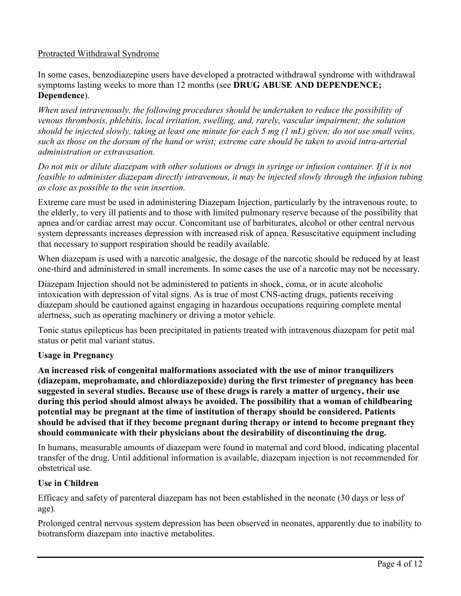### Protracted Withdrawal Syndrome

In some cases, benzodiazepine users have developed a protracted withdrawal syndrome with withdrawal symptoms lasting weeks to more than 12 months (see **DRUG ABUSE AND DEPENDENCE; Dependence**).

*When used intravenously, the following procedures should be undertaken to reduce the possibility of venous thrombosis, phlebitis, local irritation, swelling, and, rarely, vascular impairment; the solution should be injected slowly, taking at least one minute for each 5 mg (1 mL) given; do not use small veins, such as those on the dorsum of the hand or wrist; extreme care should be taken to avoid intra-arterial administration or extravasation.*

*Do not mix or dilute diazepam with other solutions or drugs in syringe or infusion container. If it is not feasible to administer diazepam directly intravenous, it may be injected slowly through the infusion tubing as close as possible to the vein insertion.*

Extreme care must be used in administering Diazepam Injection, particularly by the intravenous route, to the elderly, to very ill patients and to those with limited pulmonary reserve because of the possibility that apnea and/or cardiac arrest may occur. Concomitant use of barbiturates, alcohol or other central nervous system depressants increases depression with increased risk of apnea. Resuscitative equipment including that necessary to support respiration should be readily available.

When diazepam is used with a narcotic analgesic, the dosage of the narcotic should be reduced by at least one-third and administered in small increments. In some cases the use of a narcotic may not be necessary.

Diazepam Injection should not be administered to patients in shock, coma, or in acute alcoholic intoxication with depression of vital signs. As is true of most CNS-acting drugs, patients receiving diazepam should be cautioned against engaging in hazardous occupations requiring complete mental alertness, such as operating machinery or driving a motor vehicle.

Tonic status epilepticus has been precipitated in patients treated with intravenous diazepam for petit mal status or petit mal variant status.

### **Usage in Pregnancy**

**An increased risk of congenital malformations associated with the use of minor tranquilizers (diazepam, meprobamate, and chlordiazepoxide) during the first trimester of pregnancy has been suggested in several studies. Because use of these drugs is rarely a matter of urgency, their use during this period should almost always be avoided. The possibility that a woman of childbearing potential may be pregnant at the time of institution of therapy should be considered. Patients should be advised that if they become pregnant during therapy or intend to become pregnant they should communicate with their physicians about the desirability of discontinuing the drug.**

In humans, measurable amounts of diazepam were found in maternal and cord blood, indicating placental transfer of the drug. Until additional information is available, diazepam injection is not recommended for obstetrical use.

### **Use in Children**

Efficacy and safety of parenteral diazepam has not been established in the neonate (30 days or less of age).

Prolonged central nervous system depression has been observed in neonates, apparently due to inability to biotransform diazepam into inactive metabolites.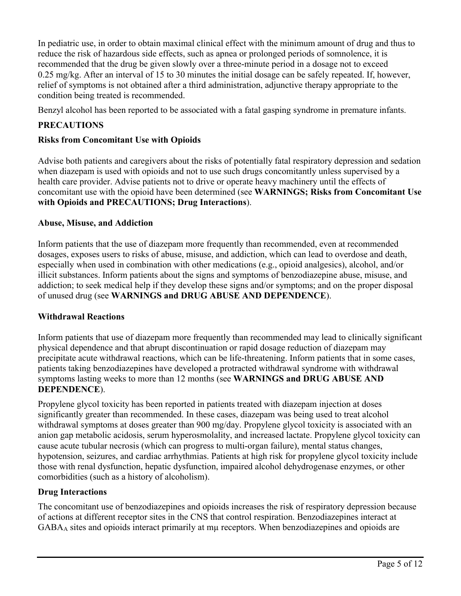In pediatric use, in order to obtain maximal clinical effect with the minimum amount of drug and thus to reduce the risk of hazardous side effects, such as apnea or prolonged periods of somnolence, it is recommended that the drug be given slowly over a three-minute period in a dosage not to exceed 0.25 mg/kg. After an interval of 15 to 30 minutes the initial dosage can be safely repeated. If, however, relief of symptoms is not obtained after a third administration, adjunctive therapy appropriate to the condition being treated is recommended.

Benzyl alcohol has been reported to be associated with a fatal gasping syndrome in premature infants.

# **PRECAUTIONS**

### **Risks from Concomitant Use with Opioids**

Advise both patients and caregivers about the risks of potentially fatal respiratory depression and sedation when diazepam is used with opioids and not to use such drugs concomitantly unless supervised by a health care provider. Advise patients not to drive or operate heavy machinery until the effects of concomitant use with the opioid have been determined (see **WARNINGS; Risks from Concomitant Use with Opioids and PRECAUTIONS; Drug Interactions**).

### **Abuse, Misuse, and Addiction**

Inform patients that the use of diazepam more frequently than recommended, even at recommended dosages, exposes users to risks of abuse, misuse, and addiction, which can lead to overdose and death, especially when used in combination with other medications (e.g., opioid analgesics), alcohol, and/or illicit substances. Inform patients about the signs and symptoms of benzodiazepine abuse, misuse, and addiction; to seek medical help if they develop these signs and/or symptoms; and on the proper disposal of unused drug (see **WARNINGS and DRUG ABUSE AND DEPENDENCE**).

### **Withdrawal Reactions**

Inform patients that use of diazepam more frequently than recommended may lead to clinically significant physical dependence and that abrupt discontinuation or rapid dosage reduction of diazepam may precipitate acute withdrawal reactions, which can be life-threatening. Inform patients that in some cases, patients taking benzodiazepines have developed a protracted withdrawal syndrome with withdrawal symptoms lasting weeks to more than 12 months (see **WARNINGS and DRUG ABUSE AND DEPENDENCE**).

Propylene glycol toxicity has been reported in patients treated with diazepam injection at doses significantly greater than recommended. In these cases, diazepam was being used to treat alcohol withdrawal symptoms at doses greater than 900 mg/day. Propylene glycol toxicity is associated with an anion gap metabolic acidosis, serum hyperosmolality, and increased lactate. Propylene glycol toxicity can cause acute tubular necrosis (which can progress to multi-organ failure), mental status changes, hypotension, seizures, and cardiac arrhythmias. Patients at high risk for propylene glycol toxicity include those with renal dysfunction, hepatic dysfunction, impaired alcohol dehydrogenase enzymes, or other comorbidities (such as a history of alcoholism).

### **Drug Interactions**

The concomitant use of benzodiazepines and opioids increases the risk of respiratory depression because of actions at different receptor sites in the CNS that control respiration. Benzodiazepines interact at GABA<sup>A</sup> sites and opioids interact primarily at mµ receptors. When benzodiazepines and opioids are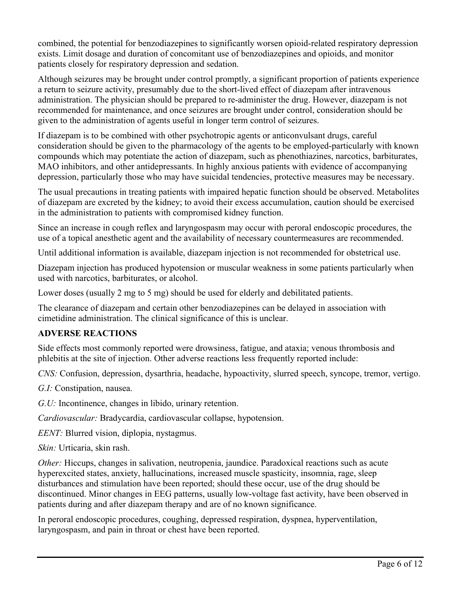combined, the potential for benzodiazepines to significantly worsen opioid-related respiratory depression exists. Limit dosage and duration of concomitant use of benzodiazepines and opioids, and monitor patients closely for respiratory depression and sedation.

Although seizures may be brought under control promptly, a significant proportion of patients experience a return to seizure activity, presumably due to the short-lived effect of diazepam after intravenous administration. The physician should be prepared to re-administer the drug. However, diazepam is not recommended for maintenance, and once seizures are brought under control, consideration should be given to the administration of agents useful in longer term control of seizures.

If diazepam is to be combined with other psychotropic agents or anticonvulsant drugs, careful consideration should be given to the pharmacology of the agents to be employed-particularly with known compounds which may potentiate the action of diazepam, such as phenothiazines, narcotics, barbiturates, MAO inhibitors, and other antidepressants. In highly anxious patients with evidence of accompanying depression, particularly those who may have suicidal tendencies, protective measures may be necessary.

The usual precautions in treating patients with impaired hepatic function should be observed. Metabolites of diazepam are excreted by the kidney; to avoid their excess accumulation, caution should be exercised in the administration to patients with compromised kidney function.

Since an increase in cough reflex and laryngospasm may occur with peroral endoscopic procedures, the use of a topical anesthetic agent and the availability of necessary countermeasures are recommended.

Until additional information is available, diazepam injection is not recommended for obstetrical use.

Diazepam injection has produced hypotension or muscular weakness in some patients particularly when used with narcotics, barbiturates, or alcohol.

Lower doses (usually 2 mg to 5 mg) should be used for elderly and debilitated patients.

The clearance of diazepam and certain other benzodiazepines can be delayed in association with cimetidine administration. The clinical significance of this is unclear.

### **ADVERSE REACTIONS**

Side effects most commonly reported were drowsiness, fatigue, and ataxia; venous thrombosis and phlebitis at the site of injection. Other adverse reactions less frequently reported include:

*CNS:* Confusion, depression, dysarthria, headache, hypoactivity, slurred speech, syncope, tremor, vertigo.

*G.I:* Constipation, nausea.

*G.U:* Incontinence, changes in libido, urinary retention.

*Cardiovascular:* Bradycardia, cardiovascular collapse, hypotension.

*EENT:* Blurred vision, diplopia, nystagmus.

*Skin:* Urticaria, skin rash.

*Other:* Hiccups, changes in salivation, neutropenia, jaundice. Paradoxical reactions such as acute hyperexcited states, anxiety, hallucinations, increased muscle spasticity, insomnia, rage, sleep disturbances and stimulation have been reported; should these occur, use of the drug should be discontinued. Minor changes in EEG patterns, usually low-voltage fast activity, have been observed in patients during and after diazepam therapy and are of no known significance.

In peroral endoscopic procedures, coughing, depressed respiration, dyspnea, hyperventilation, laryngospasm, and pain in throat or chest have been reported.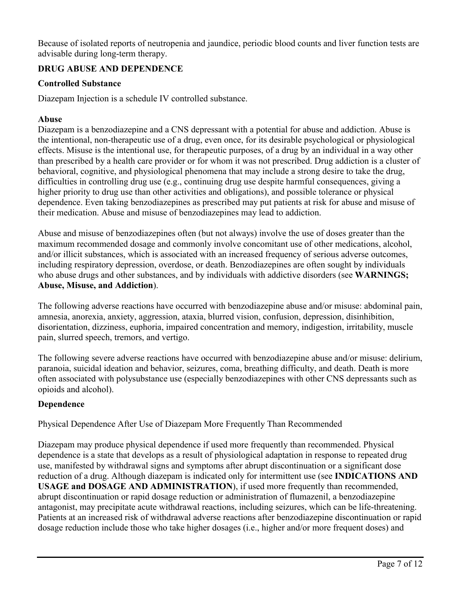Because of isolated reports of neutropenia and jaundice, periodic blood counts and liver function tests are advisable during long-term therapy.

# **DRUG ABUSE AND DEPENDENCE**

### **Controlled Substance**

Diazepam Injection is a schedule IV controlled substance.

### **Abuse**

Diazepam is a benzodiazepine and a CNS depressant with a potential for abuse and addiction. Abuse is the intentional, non-therapeutic use of a drug, even once, for its desirable psychological or physiological effects. Misuse is the intentional use, for therapeutic purposes, of a drug by an individual in a way other than prescribed by a health care provider or for whom it was not prescribed. Drug addiction is a cluster of behavioral, cognitive, and physiological phenomena that may include a strong desire to take the drug, difficulties in controlling drug use (e.g., continuing drug use despite harmful consequences, giving a higher priority to drug use than other activities and obligations), and possible tolerance or physical dependence. Even taking benzodiazepines as prescribed may put patients at risk for abuse and misuse of their medication. Abuse and misuse of benzodiazepines may lead to addiction.

Abuse and misuse of benzodiazepines often (but not always) involve the use of doses greater than the maximum recommended dosage and commonly involve concomitant use of other medications, alcohol, and/or illicit substances, which is associated with an increased frequency of serious adverse outcomes, including respiratory depression, overdose, or death. Benzodiazepines are often sought by individuals who abuse drugs and other substances, and by individuals with addictive disorders (see **WARNINGS; Abuse, Misuse, and Addiction**).

The following adverse reactions have occurred with benzodiazepine abuse and/or misuse: abdominal pain, amnesia, anorexia, anxiety, aggression, ataxia, blurred vision, confusion, depression, disinhibition, disorientation, dizziness, euphoria, impaired concentration and memory, indigestion, irritability, muscle pain, slurred speech, tremors, and vertigo.

The following severe adverse reactions have occurred with benzodiazepine abuse and/or misuse: delirium, paranoia, suicidal ideation and behavior, seizures, coma, breathing difficulty, and death. Death is more often associated with polysubstance use (especially benzodiazepines with other CNS depressants such as opioids and alcohol).

### **Dependence**

Physical Dependence After Use of Diazepam More Frequently Than Recommended

Diazepam may produce physical dependence if used more frequently than recommended. Physical dependence is a state that develops as a result of physiological adaptation in response to repeated drug use, manifested by withdrawal signs and symptoms after abrupt discontinuation or a significant dose reduction of a drug. Although diazepam is indicated only for intermittent use (see **INDICATIONS AND USAGE and DOSAGE AND ADMINISTRATION**), if used more frequently than recommended, abrupt discontinuation or rapid dosage reduction or administration of flumazenil, a benzodiazepine antagonist, may precipitate acute withdrawal reactions, including seizures, which can be life-threatening. Patients at an increased risk of withdrawal adverse reactions after benzodiazepine discontinuation or rapid dosage reduction include those who take higher dosages (i.e., higher and/or more frequent doses) and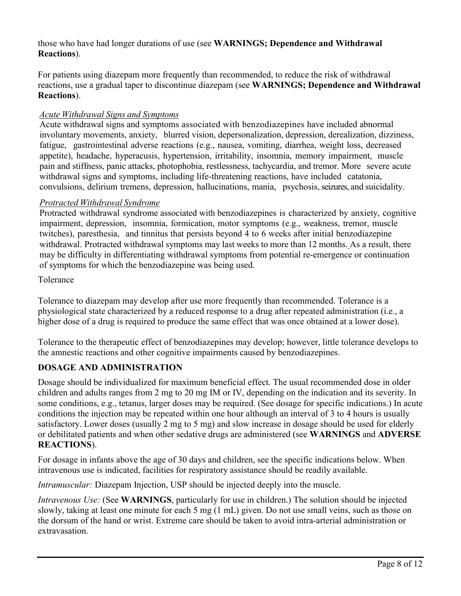those who have had longer durations of use (see **WARNINGS; Dependence and Withdrawal Reactions**).

For patients using diazepam more frequently than recommended, to reduce the risk of withdrawal reactions, use a gradual taper to discontinue diazepam (see **WARNINGS; Dependence and Withdrawal Reactions**).

### *Acute Withdrawal Signs and Symptoms*

Acute withdrawal signs and symptoms associated with benzodiazepines have included abnormal involuntary movements, anxiety, blurred vision, depersonalization, depression, derealization, dizziness, fatigue, gastrointestinal adverse reactions (e.g., nausea, vomiting, diarrhea, weight loss, decreased appetite), headache, hyperacusis, hypertension, irritability, insomnia, memory impairment, muscle pain and stiffness, panic attacks, photophobia, restlessness, tachycardia, and tremor. More severe acute withdrawal signs and symptoms, including life-threatening reactions, have included catatonia, convulsions, delirium tremens, depression, hallucinations, mania, psychosis, seizures, and suicidality.

### *Protracted Withdrawal Syndrome*

Protracted withdrawal syndrome associated with benzodiazepines is characterized by anxiety, cognitive impairment, depression, insomnia, formication, motor symptoms (e.g., weakness, tremor, muscle twitches), paresthesia, and tinnitus that persists beyond 4 to 6 weeks after initial benzodiazepine withdrawal. Protracted withdrawal symptoms may last weeks to more than 12 months. As a result, there may be difficulty in differentiating withdrawal symptoms from potential re-emergence or continuation of symptoms for which the benzodiazepine was being used.

### Tolerance

Tolerance to diazepam may develop after use more frequently than recommended. Tolerance is a physiological state characterized by a reduced response to a drug after repeated administration (i.e., a higher dose of a drug is required to produce the same effect that was once obtained at a lower dose).

Tolerance to the therapeutic effect of benzodiazepines may develop; however, little tolerance develops to the amnestic reactions and other cognitive impairments caused by benzodiazepines.

### **DOSAGE AND ADMINISTRATION**

Dosage should be individualized for maximum beneficial effect. The usual recommended dose in older children and adults ranges from 2 mg to 20 mg IM or IV, depending on the indication and its severity. In some conditions, e.g., tetanus, larger doses may be required. (See dosage for specific indications.) In acute conditions the injection may be repeated within one hour although an interval of 3 to 4 hours is usually satisfactory. Lower doses (usually 2 mg to 5 mg) and slow increase in dosage should be used for elderly or debilitated patients and when other sedative drugs are administered (see **WARNINGS** and **ADVERSE REACTIONS**).

For dosage in infants above the age of 30 days and children, see the specific indications below. When intravenous use is indicated, facilities for respiratory assistance should be readily available.

*Intramuscular:* Diazepam Injection, USP should be injected deeply into the muscle.

*Intravenous Use:* (See **WARNINGS**, particularly for use in children.) The solution should be injected slowly, taking at least one minute for each 5 mg (1 mL) given. Do not use small veins, such as those on the dorsum of the hand or wrist. Extreme care should be taken to avoid intra-arterial administration or extravasation.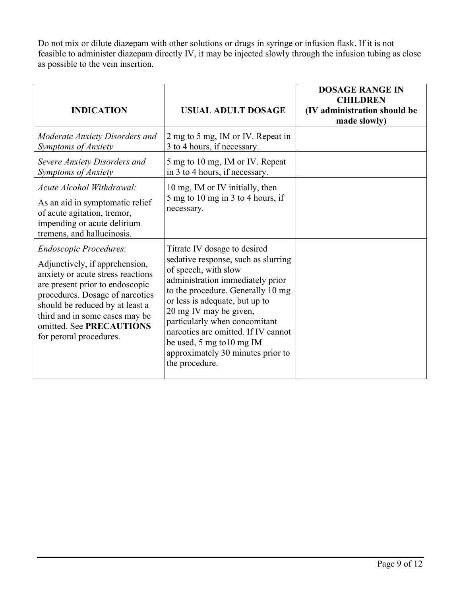Do not mix or dilute diazepam with other solutions or drugs in syringe or infusion flask. If it is not feasible to administer diazepam directly IV, it may be injected slowly through the infusion tubing as close as possible to the vein insertion.

| <b>INDICATION</b>                                                                                                                                                                                                                                                                                      | USUAL ADULT DOSAGE                                                                                                                                                                                                                                                                                                                                                                           | <b>DOSAGE RANGE IN</b><br><b>CHILDREN</b><br>(IV administration should be<br>made slowly) |
|--------------------------------------------------------------------------------------------------------------------------------------------------------------------------------------------------------------------------------------------------------------------------------------------------------|----------------------------------------------------------------------------------------------------------------------------------------------------------------------------------------------------------------------------------------------------------------------------------------------------------------------------------------------------------------------------------------------|-------------------------------------------------------------------------------------------|
| Moderate Anxiety Disorders and<br>Symptoms of Anxiety                                                                                                                                                                                                                                                  | 2 mg to 5 mg, IM or IV. Repeat in<br>3 to 4 hours, if necessary.                                                                                                                                                                                                                                                                                                                             |                                                                                           |
| Severe Anxiety Disorders and<br>Symptoms of Anxiety                                                                                                                                                                                                                                                    | 5 mg to 10 mg, IM or IV. Repeat<br>in 3 to 4 hours, if necessary.                                                                                                                                                                                                                                                                                                                            |                                                                                           |
| Acute Alcohol Withdrawal:<br>As an aid in symptomatic relief<br>of acute agitation, tremor,<br>impending or acute delirium<br>tremens, and hallucinosis.                                                                                                                                               | 10 mg, IM or IV initially, then<br>5 mg to 10 mg in 3 to 4 hours, if<br>necessary.                                                                                                                                                                                                                                                                                                           |                                                                                           |
| <b>Endoscopic Procedures:</b><br>Adjunctively, if apprehension,<br>anxiety or acute stress reactions<br>are present prior to endoscopic<br>procedures. Dosage of narcotics<br>should be reduced by at least a<br>third and in some cases may be<br>omitted. See PRECAUTIONS<br>for peroral procedures. | Titrate IV dosage to desired<br>sedative response, such as slurring<br>of speech, with slow<br>administration immediately prior<br>to the procedure. Generally 10 mg<br>or less is adequate, but up to<br>20 mg IV may be given,<br>particularly when concomitant<br>narcotics are omitted. If IV cannot<br>be used, 5 mg to 10 mg IM<br>approximately 30 minutes prior to<br>the procedure. |                                                                                           |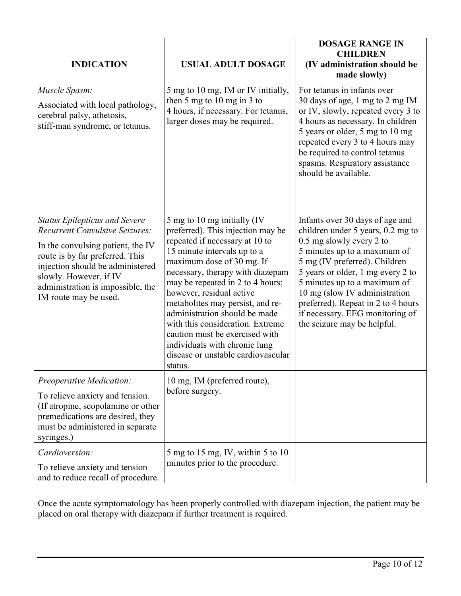| <b>INDICATION</b>                                                                                                                                                                                                                                                                 | <b>USUAL ADULT DOSAGE</b>                                                                                                                                                                                                                                                                                                                                                                                                                                                                       | <b>DOSAGE RANGE IN</b><br><b>CHILDREN</b><br>(IV administration should be<br>made slowly)                                                                                                                                                                                                                                                                                       |
|-----------------------------------------------------------------------------------------------------------------------------------------------------------------------------------------------------------------------------------------------------------------------------------|-------------------------------------------------------------------------------------------------------------------------------------------------------------------------------------------------------------------------------------------------------------------------------------------------------------------------------------------------------------------------------------------------------------------------------------------------------------------------------------------------|---------------------------------------------------------------------------------------------------------------------------------------------------------------------------------------------------------------------------------------------------------------------------------------------------------------------------------------------------------------------------------|
| Muscle Spasm:<br>Associated with local pathology,<br>cerebral palsy, athetosis,<br>stiff-man syndrome, or tetanus.                                                                                                                                                                | 5 mg to 10 mg, IM or IV initially,<br>then 5 mg to 10 mg in 3 to<br>4 hours, if necessary. For tetanus,<br>larger doses may be required.                                                                                                                                                                                                                                                                                                                                                        | For tetanus in infants over<br>30 days of age, 1 mg to 2 mg IM<br>or IV, slowly, repeated every 3 to<br>4 hours as necessary. In children<br>5 years or older, 5 mg to 10 mg<br>repeated every 3 to 4 hours may<br>be required to control tetanus<br>spasms. Respiratory assistance<br>should be available.                                                                     |
| <b>Status Epilepticus and Severe</b><br><b>Recurrent Convulsive Seizures:</b><br>In the convulsing patient, the IV<br>route is by far preferred. This<br>injection should be administered<br>slowly. However, if IV<br>administration is impossible, the<br>IM route may be used. | 5 mg to 10 mg initially (IV<br>preferred). This injection may be<br>repeated if necessary at 10 to<br>15 minute intervals up to a<br>maximum dose of 30 mg. If<br>necessary, therapy with diazepam<br>may be repeated in 2 to 4 hours;<br>however, residual active<br>metabolites may persist, and re-<br>administration should be made<br>with this consideration. Extreme<br>caution must be exercised with<br>individuals with chronic lung<br>disease or unstable cardiovascular<br>status. | Infants over 30 days of age and<br>children under 5 years, 0.2 mg to<br>0.5 mg slowly every 2 to<br>5 minutes up to a maximum of<br>5 mg (IV preferred). Children<br>5 years or older, 1 mg every 2 to<br>5 minutes up to a maximum of<br>10 mg (slow IV administration<br>preferred). Repeat in 2 to 4 hours<br>if necessary. EEG monitoring of<br>the seizure may be helpful. |
| Preoperative Medication:<br>To relieve anxiety and tension.<br>(If atropine, scopolamine or other<br>premedications are desired, they<br>must be administered in separate<br>syringes.)                                                                                           | 10 mg, IM (preferred route),<br>before surgery.                                                                                                                                                                                                                                                                                                                                                                                                                                                 |                                                                                                                                                                                                                                                                                                                                                                                 |
| Cardioversion:<br>To relieve anxiety and tension<br>and to reduce recall of procedure.                                                                                                                                                                                            | $5 \text{ mg}$ to $15 \text{ mg}$ , IV, within $5 \text{ to } 10$<br>minutes prior to the procedure.                                                                                                                                                                                                                                                                                                                                                                                            |                                                                                                                                                                                                                                                                                                                                                                                 |

Once the acute symptomatology has been properly controlled with diazepam injection, the patient may be placed on oral therapy with diazepam if further treatment is required.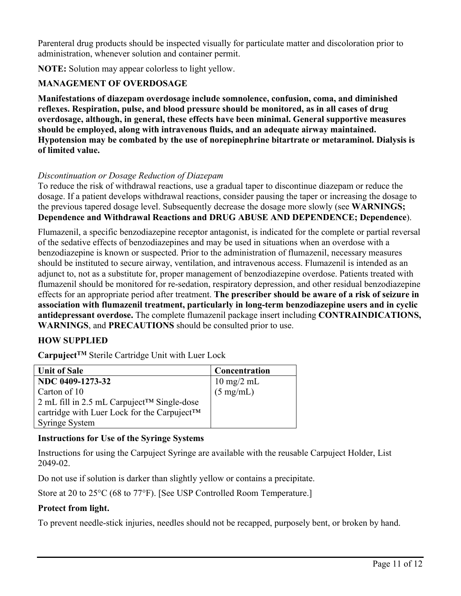Parenteral drug products should be inspected visually for particulate matter and discoloration prior to administration, whenever solution and container permit.

**NOTE:** Solution may appear colorless to light yellow.

# **MANAGEMENT OF OVERDOSAGE**

**Manifestations of diazepam overdosage include somnolence, confusion, coma, and diminished reflexes. Respiration, pulse, and blood pressure should be monitored, as in all cases of drug overdosage, although, in general, these effects have been minimal. General supportive measures should be employed, along with intravenous fluids, and an adequate airway maintained. Hypotension may be combated by the use of norepinephrine bitartrate or metaraminol. Dialysis is of limited value.**

### *Discontinuation or Dosage Reduction of Diazepam*

To reduce the risk of withdrawal reactions, use a gradual taper to discontinue diazepam or reduce the dosage. If a patient develops withdrawal reactions, consider pausing the taper or increasing the dosage to the previous tapered dosage level. Subsequently decrease the dosage more slowly (see **WARNINGS; Dependence and Withdrawal Reactions and DRUG ABUSE AND DEPENDENCE; Dependence**).

Flumazenil, a specific benzodiazepine receptor antagonist, is indicated for the complete or partial reversal of the sedative effects of benzodiazepines and may be used in situations when an overdose with a benzodiazepine is known or suspected. Prior to the administration of flumazenil, necessary measures should be instituted to secure airway, ventilation, and intravenous access. Flumazenil is intended as an adjunct to, not as a substitute for, proper management of benzodiazepine overdose. Patients treated with flumazenil should be monitored for re-sedation, respiratory depression, and other residual benzodiazepine effects for an appropriate period after treatment. **The prescriber should be aware of a risk of seizure in association with flumazenil treatment, particularly in long-term benzodiazepine users and in cyclic antidepressant overdose.** The complete flumazenil package insert including **CONTRAINDICATIONS, WARNINGS**, and **PRECAUTIONS** should be consulted prior to use.

### **HOW SUPPLIED**

**CarpujectTM** Sterile Cartridge Unit with Luer Lock

| <b>Unit of Sale</b>                                       | Concentration                |
|-----------------------------------------------------------|------------------------------|
| NDC 0409-1273-32                                          | $10 \text{ mg}/2 \text{ mL}$ |
| Carton of 10                                              | $(5 \text{ mg/mL})$          |
| $2$ mL fill in 2.5 mL Carpuject <sup>TM</sup> Single-dose |                              |
| cartridge with Luer Lock for the Carpuject™               |                              |
| Syringe System                                            |                              |

### **Instructions for Use of the Syringe Systems**

Instructions for using the Carpuject Syringe are available with the reusable Carpuject Holder, List 2049-02.

Do not use if solution is darker than slightly yellow or contains a precipitate.

Store at 20 to 25°C (68 to 77°F). [See USP Controlled Room Temperature.]

### **Protect from light.**

To prevent needle-stick injuries, needles should not be recapped, purposely bent, or broken by hand.